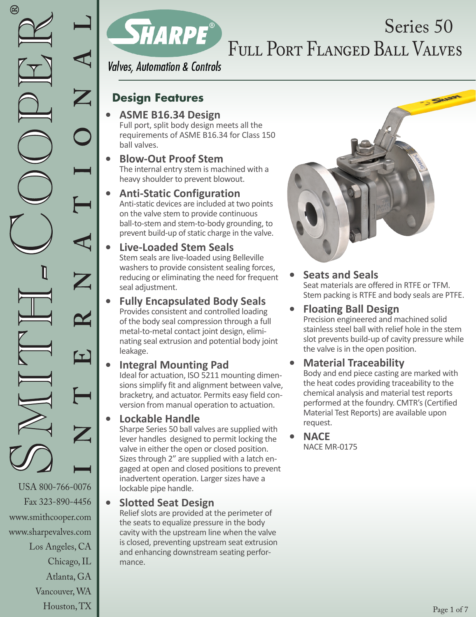Fax 323-890-4456 www.smithcooper.com www.sharpevalves.com Los Angeles, CA Chicago, IL Atlanta, GA Vancouver, WA Houston, TX



## Full Port Flanged Ball Valves Series 50

**Valves, Automation & Controls** 

### **Design Features**

- **• ASME B16.34 Design**  Full port, split body design meets all the requirements of ASME B16.34 for Class 150 ball valves.
- **• Blow-Out Proof Stem** The internal entry stem is machined with a heavy shoulder to prevent blowout.
- **• Anti-Static Configuration**  Anti-static devices are included at two points on the valve stem to provide continuous ball-to-stem and stem-to-body grounding, to prevent build-up of static charge in the valve.
	- **• Live-Loaded Stem Seals** Stem seals are live-loaded using Belleville washers to provide consistent sealing forces, reducing or eliminating the need for frequent seal adjustment.
- **• Fully Encapsulated Body Seals**  Provides consistent and controlled loading of the body seal compression through a full metal-to-metal contact joint design, eliminating seal extrusion and potential body joint leakage.
	- **• Integral Mounting Pad** Ideal for actuation, ISO 5211 mounting dimensions simplify fit and alignment between valve, bracketry, and actuator. Permits easy field conversion from manual operation to actuation.

#### **• Lockable Handle**

Sharpe Series 50 ball valves are supplied with lever handles designed to permit locking the valve in either the open or closed position. Sizes through 2" are supplied with a latch engaged at open and closed positions to prevent inadvertent operation. Larger sizes have a lockable pipe handle.

**• Slotted Seat Design**

Relief slots are provided at the perimeter of the seats to equalize pressure in the body cavity with the upstream line when the valve is closed, preventing upstream seat extrusion and enhancing downstream seating performance.



**• Seats and Seals**  Seat materials are offered in RTFE or TFM. Stem packing is RTFE and body seals are PTFE.

#### **• Floating Ball Design**

Precision engineered and machined solid stainless steel ball with relief hole in the stem slot prevents build-up of cavity pressure while the valve is in the open position.

#### **• Material Traceability**

Body and end piece casting are marked with the heat codes providing traceability to the chemical analysis and material test reports performed at the foundry. CMTR's (Certified Material Test Reports) are available upon request.

**• NACE** NACE MR-0175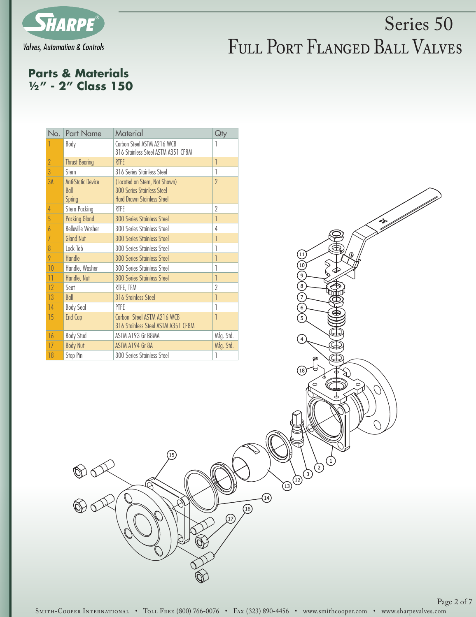

FCCCCCCCC

 $\left( \widehat{18}\right)$ 

 $\bigcirc$ 

⊙

 $\sqrt{13}^{12}$ 

|<br>|}

#### **Parts & Materials 1/2" - 2" Class 150**

 $\mathcal{O}$ 

| No.             | <b>Part Name</b>                                   | Material                                                                                        | Qty       |
|-----------------|----------------------------------------------------|-------------------------------------------------------------------------------------------------|-----------|
|                 | Body                                               | Carbon Steel ASTM A216 WCB<br>316 Stainless Steel ASTM A351 CF8M                                | 1         |
| $\overline{2}$  | <b>Thrust Bearing</b>                              | <b>RTFE</b>                                                                                     | 1         |
| $\overline{3}$  | Stem                                               | 316 Series Strinless Steel                                                                      | 1         |
| 3A              | <b>Anti-Static Device</b><br>Ball<br><b>Spring</b> | (Located on Stem, Not Shown)<br>300 Series Strinless Steel<br><b>Hard Drawn Stainless Steel</b> | $\gamma$  |
| $\overline{4}$  | Stem Packing                                       | <b>RTFF</b>                                                                                     | $\gamma$  |
| 5               | <b>Packing Gland</b>                               | <b>300 Series Stainless Steel</b>                                                               | 1         |
| $\overline{b}$  | <b>Belleville Washer</b>                           | 300 Series Stainless Steel                                                                      | 4         |
| 7               | <b>Gland Nut</b>                                   | <b>300 Series Stainless Steel</b>                                                               | 1         |
| 8               | Lock Tab                                           | 300 Series Stainless Steel                                                                      | 1         |
| 9               | Handle                                             | <b>300 Series Stainless Steel</b>                                                               | 1         |
| 10              | Handle, Washer                                     | 300 Series Stainless Steel                                                                      | 1         |
| $\overline{11}$ | Handle, Nut                                        | <b>300 Series Stainless Steel</b>                                                               | 1         |
| 12              | Sent                                               | RTFE, TFM                                                                                       | $\gamma$  |
| 13              | Ball                                               | 316 Stainless Steel                                                                             | 1         |
| 14              | <b>Body Seal</b>                                   | PTFE                                                                                            | 1         |
| 15              | End Cap                                            | Carbon Steel ASTM A216 WCB<br>316 Stainless Steel ASTM A351 CF8M                                | 1         |
| 16              | <b>Body Stud</b>                                   | ASTM A193 Gr B8MA                                                                               | Mfg. Std. |
| 17              | <b>Body Nut</b>                                    | ASTM A194 Gr 8A                                                                                 | Mfg. Std. |
| 18              | Stop Pin                                           | 300 Series Stainless Steel                                                                      | 1         |

T5

 $-14$ 

 $\overline{)}$ 

 $\left(\overline{17}\right)$ 

Page 2 of 7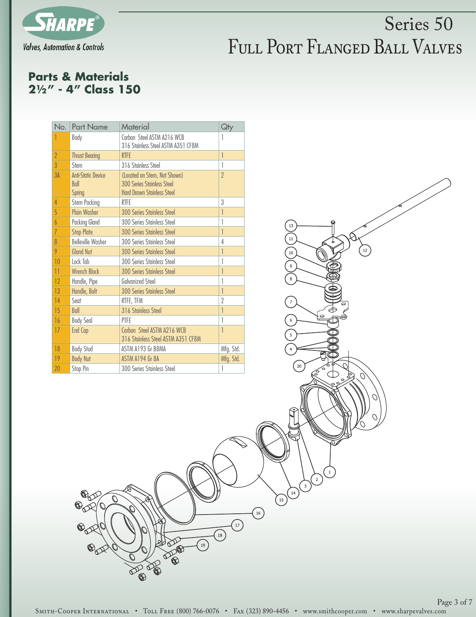

 $\frac{1}{12}$ 

13  $\overline{11}$ 

 $10$ 

 $20$ 

 $\mathbf 2$  $\overline{\mathbf{3}}$  $\begin{bmatrix} 14 \end{bmatrix}$  $\bigodot$ 

#### **Parts & Materials 21/2" - 4" Class 150**

O

| No.             | <b>Part Name</b>                                   | Material                                                                                        | Qty                      |
|-----------------|----------------------------------------------------|-------------------------------------------------------------------------------------------------|--------------------------|
|                 | Body                                               | Carbon Steel ASTM A216 WCB<br>316 Stainless Steel ASTM A351 CF8M                                | 1                        |
| $\overline{2}$  | <b>Thrust Bearing</b>                              | <b>RTFE</b>                                                                                     | $\overline{1}$           |
| $\overline{3}$  | Stem                                               | 316 Stainless Steel                                                                             | 1                        |
| 3A              | <b>Anti-Static Device</b><br>Ball<br><b>Spring</b> | (Located on Stem, Not Shown)<br>300 Series Stainless Steel<br><b>Hard Drawn Stainless Steel</b> | $\overline{\phantom{a}}$ |
| 4               | Stem Packing                                       | <b>RTFF</b>                                                                                     | 3                        |
| 5               | <b>Plain Washer</b>                                | <b>300 Series Stainless Steel</b>                                                               | 1                        |
| $\overline{6}$  | <b>Packing Gland</b>                               | 300 Series Stainless Steel                                                                      | 1                        |
| $\overline{7}$  | <b>Stop Plate</b>                                  | <b>300 Series Stainless Steel</b>                                                               | 1                        |
| 8               | <b>Belleville Washer</b>                           | 300 Series Stainless Steel                                                                      | 4                        |
| 9               | <b>Gland Nut</b>                                   | <b>300 Series Stainless Steel</b>                                                               | 1                        |
| 10              | Lock Tab                                           | 300 Series Stainless Steel                                                                      | 1                        |
| $\overline{11}$ | Wrench Block                                       | <b>300 Series Stainless Steel</b>                                                               | 1                        |
| 12              | Handle, Pipe                                       | Galvanized Steel                                                                                | 1                        |
| 13              | Handle, Bolt                                       | <b>300 Series Stainless Steel</b>                                                               | 1                        |
| 14              | Seat                                               | RTFE, TFM                                                                                       | $\gamma$                 |
| 15              | Ball                                               | 316 Stainless Steel                                                                             | 1                        |
| 16              | <b>Body Seal</b>                                   | PTFF                                                                                            | 1                        |
| 17              | <b>End Cap</b>                                     | Carbon Steel ASTM A216 WCB<br>316 Stainless Steel ASTM A351 CF8M                                | 1                        |
| 18              | <b>Body Stud</b>                                   | ASTM A193 Gr B8MA                                                                               | Mfg. Std.                |
| 19              | <b>Body Nut</b>                                    | ASTM A194 Gr 8A                                                                                 | Mfg. Std.                |
| 20              | Stop Pin                                           | 300 Series Stainless Steel                                                                      | 1                        |

SMITH-COOPER INTERNATIONAL • TOLL FREE (800) 766-0076 • FAX (323) 890-4456 • www.smithcooper.com • www.sharpevalves.com

 $\bigodot$ 

 $\widetilde{(\mathbf{r})}$ 

 $\bigotimes$ 

**DO**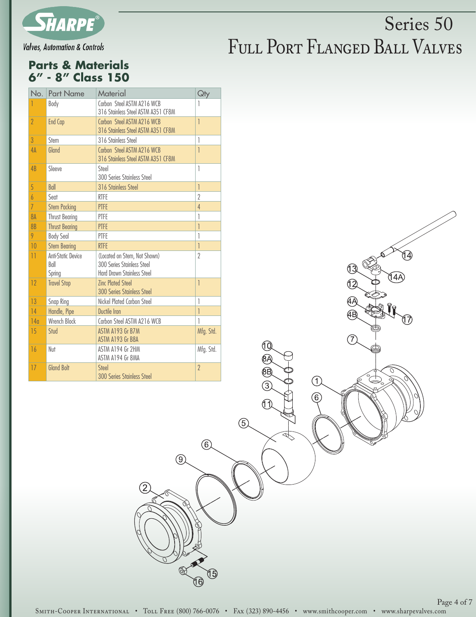

**Valves, Automation & Controls** 

### FULL PORT FLANGED BALL VALVES Series 50

#### **Parts & Materials 6" - 8" Class 150**

| No.             | <b>Part Name</b>                     | Material                                                                                        | Qty            |  |  |  |  |
|-----------------|--------------------------------------|-------------------------------------------------------------------------------------------------|----------------|--|--|--|--|
|                 | Body                                 | Carbon Steel ASTM A216 WCB<br>316 Stainless Steel ASTM A351 CF8M                                | 1              |  |  |  |  |
| $\overline{2}$  | <b>End Cap</b>                       | Carbon Steel ASTM A216 WCB<br>316 Stainless Steel ASTM A351 CF8M                                |                |  |  |  |  |
| $\mathbf{3}$    | Stem                                 | 316 Stainless Steel                                                                             | 1              |  |  |  |  |
| 4A              | Gland                                | Carbon Steel ASTM A216 WCB<br>316 Stainless Steel ASTM A351 CF8M                                | $\overline{1}$ |  |  |  |  |
| 4B              | Sleeve                               | Steel<br>300 Series Stainless Steel                                                             | 1              |  |  |  |  |
| 5               | Ball                                 | 316 Stainless Steel                                                                             | $\overline{1}$ |  |  |  |  |
| 6               | Seat                                 | <b>RTFE</b>                                                                                     | $\overline{2}$ |  |  |  |  |
| $\overline{7}$  | <b>Stem Packing</b>                  | <b>PTFE</b>                                                                                     | $\overline{4}$ |  |  |  |  |
| 8A              | <b>Thrust Bearing</b>                | PTFE                                                                                            | 1              |  |  |  |  |
| 8 <sub>B</sub>  | <b>Thrust Bearing</b>                | <b>PTFE</b>                                                                                     | 1              |  |  |  |  |
| 9               | <b>Body Seal</b>                     | PTFE                                                                                            | 1              |  |  |  |  |
| 10              | <b>Stem Bearing</b>                  | <b>RTFE</b>                                                                                     | $\overline{1}$ |  |  |  |  |
| $\overline{11}$ | Anti-Static Device<br>Ball<br>Spring | (Located on Stem, Not Shown)<br>300 Series Stainless Steel<br><b>Hard Drawn Stainless Steel</b> | $\overline{2}$ |  |  |  |  |
| 12              | <b>Travel Stop</b>                   | <b>Zinc Plated Steel</b><br><b>300 Series Stainless Steel</b>                                   | $\overline{1}$ |  |  |  |  |
| 13              | Snap Ring                            | Nickel Plated Carbon Steel                                                                      | 1              |  |  |  |  |
| 14              | Handle, Pipe                         | Ductile Iron                                                                                    | 1              |  |  |  |  |
| 140             | Wrench Block                         | Carbon Steel ASTM A216 WCB                                                                      | 1              |  |  |  |  |
| 15              | Stud                                 | ASTM A193 Gr B7M<br>ASTM A193 Gr B8A                                                            | Mfg. Std.      |  |  |  |  |
| 16              | Nut                                  | ASTM A194 Gr 2HM<br>ASTM A194 Gr 8MA                                                            | Mfg. Std.      |  |  |  |  |
| 17              | <b>Gland Bolt</b>                    | Steel<br><b>300 Series Stainless Steel</b>                                                      | $\overline{2}$ |  |  |  |  |

Page 4 of 7

14

17)

İ4A

12

ĢР (АB)

7

 $\bigcirc$ 

6

10 ®A ®

 $\circled{3}$ 

 $\bigcap$ 

 $(5)$ 

 $\circled{6}$ 

16

 $\circled{0}$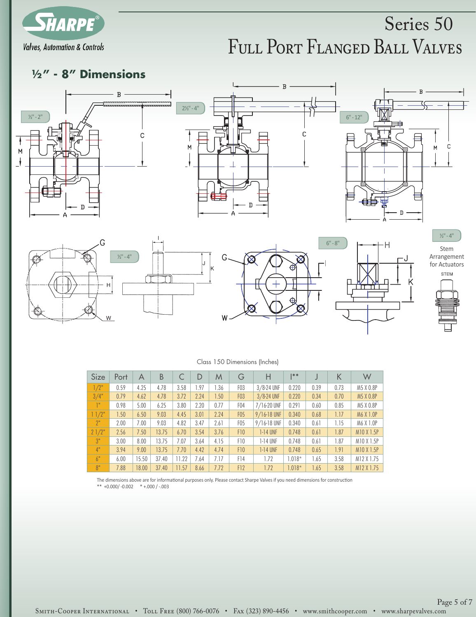

# **1/2" - 8" Dimensions**









|  |  | Class 150 Dimensions (Inches) |  |  |
|--|--|-------------------------------|--|--|
|--|--|-------------------------------|--|--|

| Size           | Port | B<br>G<br>D<br>M<br>A |       |       | Н    | $* *$ |                  | Κ               | W        |      |      |            |
|----------------|------|-----------------------|-------|-------|------|-------|------------------|-----------------|----------|------|------|------------|
| 1/2"           | 0.59 | 4.25                  | 4.78  | 3.58  | 1.97 | 1.36  | F <sub>0</sub> 3 | $3/8-24$ UNF    | 0.220    | 0.39 | 0.73 | M5 X 0.8P  |
| 3/4"           | 0.79 | 4.62                  | 4.78  | 3.72  | 2.24 | .50   | F <sub>0</sub> 3 | 3/8-24 UNF      | 0.220    | 0.34 | 0.70 | M5 X 0.8P  |
| 1"             | 0.98 | 5.00                  | 6.25  | 3.80  | 2.20 | 0.77  | F <sub>04</sub>  | 7/16-20 UNF     | 0.291    | 0.60 | 0.85 | M5 X 0.8P  |
| 1/2            | 1.50 | 6.50                  | 9.03  | 4.45  | 3.01 | 2.24  | <b>F05</b>       | 9/16-18 UNF     | 0.340    | 0.68 | 1.17 | M6 X 1.0P  |
| 2 <sup>n</sup> | 2.00 | 7.00                  | 9.03  | 4.82  | 3.47 | 2.61  | F <sub>05</sub>  | $9/16 - 18$ UNF | 0.340    | 0.61 | 1.15 | M6 X 1.0P  |
| 21/2"          | 2.56 | 7.50                  | 13.75 | 6.70  | 3.54 | 3.76  | F <sub>10</sub>  | $1-14$ UNF      | 0.748    | 0.61 | 1.87 | M10 X 1.5P |
| 3"             | 3.00 | 8.00                  | 13.75 | 7.07  | 3.64 | 4.15  | F10              | $1-14$ UNF      | 0.748    | 0.61 | 1.87 | M10 X 1.5P |
| 4"             | 3.94 | 9.00                  | 13.75 | 7.70  | 4.42 | 4.74  | F <sub>10</sub>  | $1-14$ UNF      | 0.748    | 0.65 | 1.91 | M10 X 1.5P |
| 6"             | 6.00 | 15.50                 | 37.40 | 11.22 | 7.64 | 7.17  | F <sub>14</sub>  | 1.72            | $1.018*$ | 1.65 | 3.58 | M12 X 1.75 |
| 8"             | 7.88 | 18.00                 | 37.40 | 11.57 | 8.66 | 7.72  | F12              | 1.72            | $1.018*$ | 1.65 | 3.58 | M12 X 1.75 |

The dimensions above are for informational purposes only. Please contact Sharpe Valves if you need dimensions for construction<br>\*\* +0.000/ -0.002 \* +.000 / -.003 \*\* +0.000/ -0.002 \* +.000 / -.003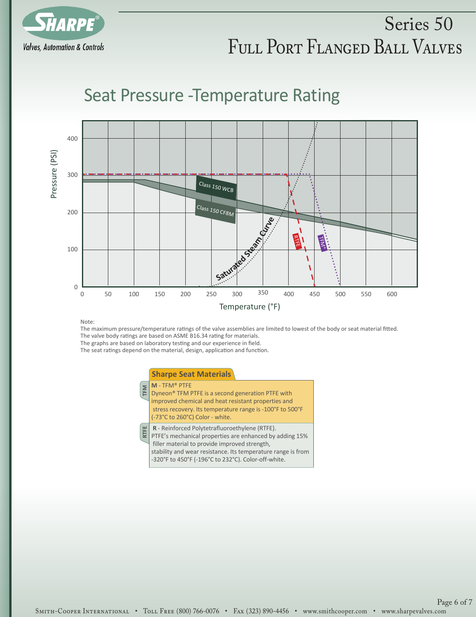

### Seat Pressure -Temperature Rating



Note:

The maximum pressure/temperature ratings of the valve assemblies are limited to lowest of the body or seat material fitted. The valve body ratings are based on ASME B16.34 rating for materials.

The graphs are based on laboratory testing and our experience in field.

The seat ratings depend on the material, design, application and function.

#### **Sharpe Seat Materials**

| <b>TFM</b>  | $M - TFM^*$ PTFE<br>Dyneon <sup>®</sup> TFM PTFE is a second generation PTFE with<br>improved chemical and heat resistant properties and<br>stress recovery. Its temperature range is -100°F to 500°F<br>(-73°C to 260°C) Color - white.                                          |
|-------------|-----------------------------------------------------------------------------------------------------------------------------------------------------------------------------------------------------------------------------------------------------------------------------------|
| <b>RTFE</b> | R - Reinforced Polytetrafluoroethylene (RTFE).<br>PTFE's mechanical properties are enhanced by adding 15%<br>filler material to provide improved strength,<br>stability and wear resistance. Its temperature range is from<br>-320°F to 450°F (-196°C to 232°C). Color-off-white. |